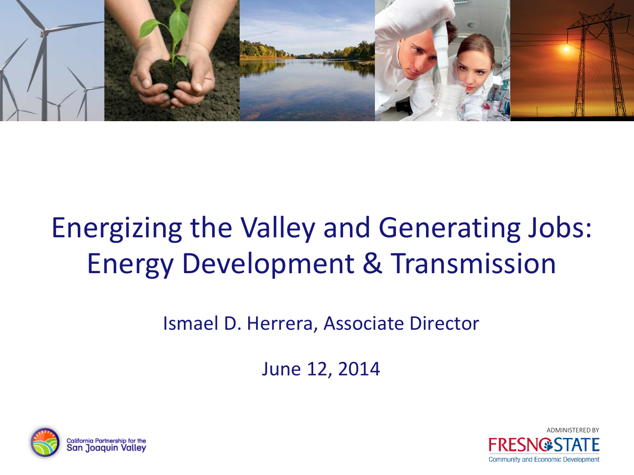

### Energizing the Valley and Generating Jobs: Energy Development & Transmission

Ismael D. Herrera, Associate Director

June 12, 2014



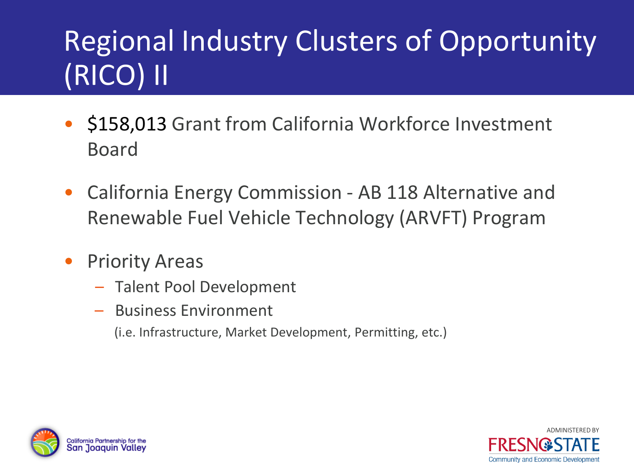# Regional Industry Clusters of Opportunity (RICO) II

- \$158,013 Grant from California Workforce Investment Board
- California Energy Commission AB 118 Alternative and Renewable Fuel Vehicle Technology (ARVFT) Program
- Priority Areas
	- Talent Pool Development
	- Business Environment
		- (i.e. Infrastructure, Market Development, Permitting, etc.)



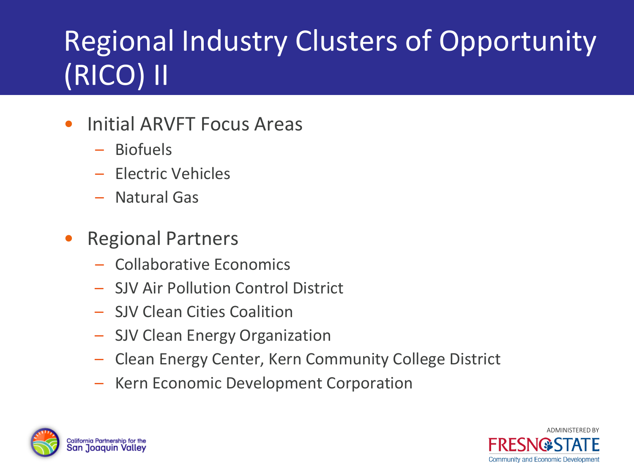# Regional Industry Clusters of Opportunity (RICO) II

- Initial ARVFT Focus Areas
	- Biofuels
	- Electric Vehicles
	- Natural Gas
- Regional Partners
	- Collaborative Economics
	- SJV Air Pollution Control District
	- SJV Clean Cities Coalition
	- SJV Clean Energy Organization
	- Clean Energy Center, Kern Community College District
	- Kern Economic Development Corporation



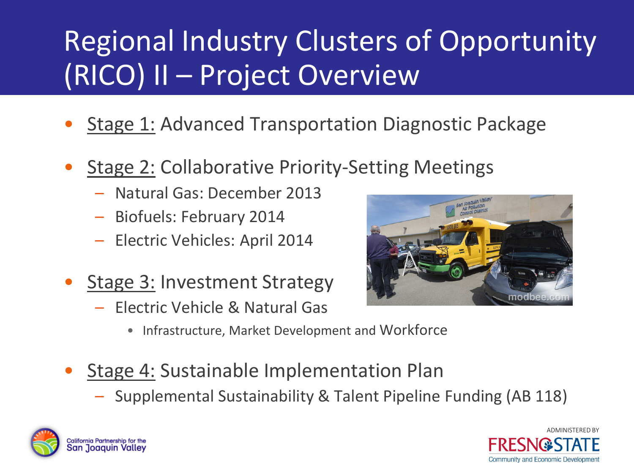## Regional Industry Clusters of Opportunity (RICO) II – Project Overview

- **Stage 1: Advanced Transportation Diagnostic Package**
- **Stage 2: Collaborative Priority-Setting Meetings** 
	- Natural Gas: December 2013
	- Biofuels: February 2014
	- Electric Vehicles: April 2014
- Stage 3: Investment Strategy
	- Electric Vehicle & Natural Gas



- Infrastructure, Market Development and Workforce
- Stage 4: Sustainable Implementation Plan
	- Supplemental Sustainability & Talent Pipeline Funding (AB 118)



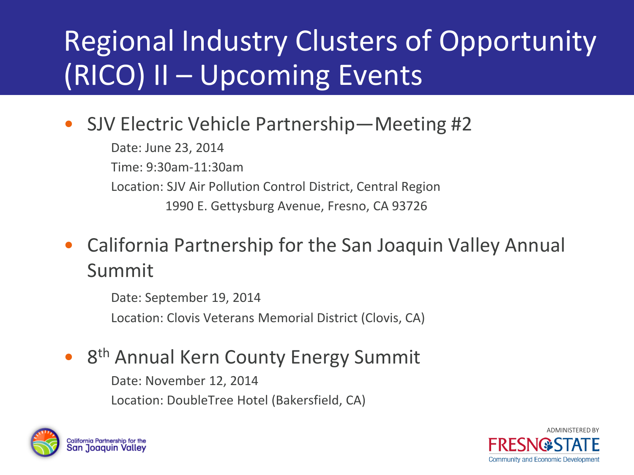### Regional Industry Clusters of Opportunity (RICO) II – Upcoming Events

#### • SJV Electric Vehicle Partnership—Meeting #2

 Date: June 23, 2014 Time: 9:30am-11:30am Location: SJV Air Pollution Control District, Central Region 1990 E. Gettysburg Avenue, Fresno, CA 93726

#### • California Partnership for the San Joaquin Valley Annual Summit

Date: September 19, 2014

Location: Clovis Veterans Memorial District (Clovis, CA)

#### 8<sup>th</sup> Annual Kern County Energy Summit

 Date: November 12, 2014 Location: DoubleTree Hotel (Bakersfield, CA)